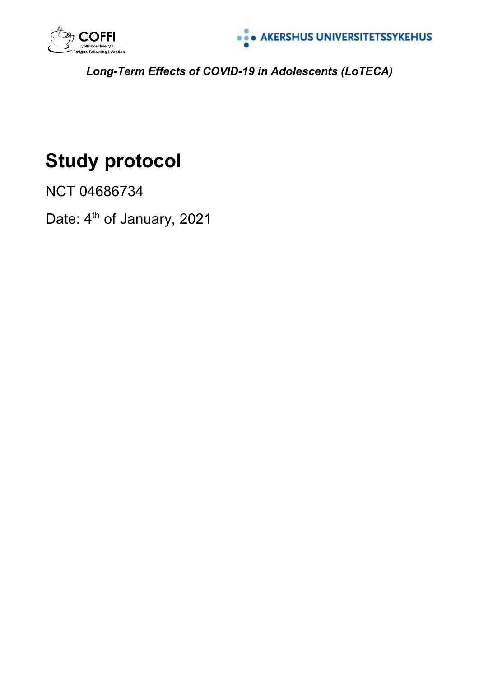



*Long-Term Effects of COVID-19 in Adolescents (LoTECA)*

# **Study protocol**

NCT 04686734

Date: 4<sup>th</sup> of January, 2021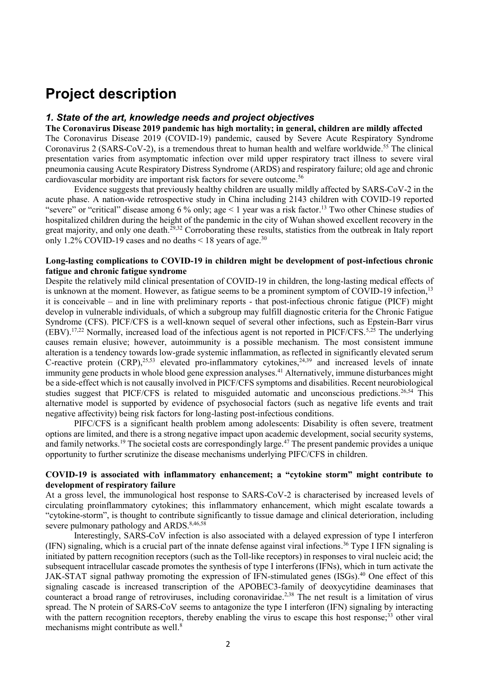# **Project description**

#### *1. State of the art, knowledge needs and project objectives*

**The Coronavirus Disease 2019 pandemic has high mortality; in general, children are mildly affected** The Coronavirus Disease 2019 (COVID-19) pandemic, caused by Severe Acute Respiratory Syndrome Coronavirus 2 (SARS-CoV-2), is a tremendous threat to human health and welfare worldwide.<sup>55</sup> The clinical presentation varies from asymptomatic infection over mild upper respiratory tract illness to severe viral pneumonia causing Acute Respiratory Distress Syndrome (ARDS) and respiratory failure; old age and chronic cardiovascular morbidity are important risk factors for severe outcome. 56

Evidence suggests that previously healthy children are usually mildly affected by SARS-CoV-2 in the acute phase. A nation-wide retrospective study in China including 2143 children with COVID-19 reported "severe" or "critical" disease among 6 % only; age  $\leq 1$  year was a risk factor.<sup>13</sup> Two other Chinese studies of hospitalized children during the height of the pandemic in the city of Wuhan showed excellent recovery in the great majority, and only one death.<sup>29,32</sup> Corroborating these results, statistics from the outbreak in Italy report only 1.2% COVID-19 cases and no deaths  $\leq 18$  years of age.<sup>30</sup>

# **Long-lasting complications to COVID-19 in children might be development of post-infectious chronic fatigue and chronic fatigue syndrome**

Despite the relatively mild clinical presentation of COVID-19 in children, the long-lasting medical effects of is unknown at the moment. However, as fatigue seems to be a prominent symptom of COVID-19 infection.<sup>13</sup> it is conceivable – and in line with preliminary reports - that post-infectious chronic fatigue (PICF) might develop in vulnerable individuals, of which a subgroup may fulfill diagnostic criteria for the Chronic Fatigue Syndrome (CFS). PICF/CFS is a well-known sequel of several other infections, such as Epstein-Barr virus  $(EBV)$ .<sup>17,22</sup> Normally, increased load of the infectious agent is not reported in PICF/CFS.<sup>5,25</sup> The underlying causes remain elusive; however, autoimmunity is a possible mechanism. The most consistent immune alteration is a tendency towards low-grade systemic inflammation, as reflected in significantly elevated serum C-reactive protein  $(CRP)$ , <sup>25,53</sup> elevated pro-inflammatory cytokines, <sup>24,39</sup> and increased levels of innate immunity gene products in whole blood gene expression analyses.<sup>41</sup> Alternatively, immune disturbances might be a side-effect which is not causally involved in PICF/CFS symptoms and disabilities. Recent neurobiological studies suggest that PICF/CFS is related to misguided automatic and unconscious predictions.<sup>26,54</sup> This alternative model is supported by evidence of psychosocial factors (such as negative life events and trait negative affectivity) being risk factors for long-lasting post-infectious conditions.

PIFC/CFS is a significant health problem among adolescents: Disability is often severe, treatment options are limited, and there is a strong negative impact upon academic development, social security systems, and family networks.<sup>19</sup> The societal costs are correspondingly large.<sup>47</sup> The present pandemic provides a unique opportunity to further scrutinize the disease mechanisms underlying PIFC/CFS in children.

# **COVID-19 is associated with inflammatory enhancement; a "cytokine storm" might contribute to development of respiratory failure**

At a gross level, the immunological host response to SARS-CoV-2 is characterised by increased levels of circulating proinflammatory cytokines; this inflammatory enhancement, which might escalate towards a "cytokine-storm", is thought to contribute significantly to tissue damage and clinical deterioration, including severe pulmonary pathology and ARDS.<sup>8,46,58</sup>

Interestingly, SARS-CoV infection is also associated with a delayed expression of type I interferon (IFN) signaling, which is a crucial part of the innate defense against viral infections. <sup>36</sup> Type I IFN signaling is initiated by pattern recognition receptors (such as the Toll-like receptors) in responses to viral nucleic acid; the subsequent intracellular cascade promotes the synthesis of type I interferons (IFNs), which in turn activate the JAK-STAT signal pathway promoting the expression of IFN-stimulated genes (ISGs). <sup>40</sup> One effect of this signaling cascade is increased transcription of the APOBEC3-family of deoxycytidine deaminases that counteract a broad range of retroviruses, including coronaviridae. 2,38 The net result is a limitation of virus spread. The N protein of SARS-CoV seems to antagonize the type I interferon (IFN) signaling by interacting with the pattern recognition receptors, thereby enabling the virus to escape this host response;<sup>33</sup> other viral mechanisms might contribute as well. 8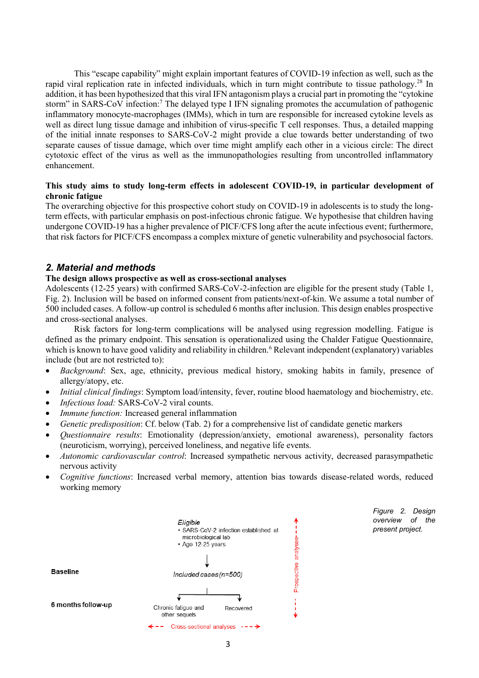This "escape capability" might explain important features of COVID-19 infection as well, such as the rapid viral replication rate in infected individuals, which in turn might contribute to tissue pathology.<sup>28</sup> In addition, it has been hypothesized that this viral IFN antagonism plays a crucial part in promoting the "cytokine storm" in SARS-CoV infection:<sup>7</sup> The delayed type I IFN signaling promotes the accumulation of pathogenic inflammatory monocyte-macrophages (IMMs), which in turn are responsible for increased cytokine levels as well as direct lung tissue damage and inhibition of virus-specific T cell responses. Thus, a detailed mapping of the initial innate responses to SARS-CoV-2 might provide a clue towards better understanding of two separate causes of tissue damage, which over time might amplify each other in a vicious circle: The direct cytotoxic effect of the virus as well as the immunopathologies resulting from uncontrolled inflammatory enhancement.

# **This study aims to study long-term effects in adolescent COVID-19, in particular development of chronic fatigue**

The overarching objective for this prospective cohort study on COVID-19 in adolescents is to study the longterm effects, with particular emphasis on post-infectious chronic fatigue. We hypothesise that children having undergone COVID-19 has a higher prevalence of PICF/CFS long after the acute infectious event; furthermore, that risk factors for PICF/CFS encompass a complex mixture of genetic vulnerability and psychosocial factors.

# *2. Material and methods*

# **The design allows prospective as well as cross-sectional analyses**

Adolescents (12-25 years) with confirmed SARS-CoV-2-infection are eligible for the present study (Table 1, Fig. 2). Inclusion will be based on informed consent from patients/next-of-kin. We assume a total number of 500 included cases. A follow-up control is scheduled 6 months after inclusion. This design enables prospective and cross-sectional analyses.

Risk factors for long-term complications will be analysed using regression modelling. Fatigue is defined as the primary endpoint. This sensation is operationalized using the Chalder Fatigue Questionnaire, which is known to have good validity and reliability in children.<sup>6</sup> Relevant independent (explanatory) variables include (but are not restricted to):

- *Background*: Sex, age, ethnicity, previous medical history, smoking habits in family, presence of allergy/atopy, etc.
- *Initial clinical findings*: Symptom load/intensity, fever, routine blood haematology and biochemistry, etc.
- *Infectious load:* SARS-CoV-2 viral counts.
- *Immune function:* Increased general inflammation
- *Genetic predisposition*: Cf. below (Tab. 2) for a comprehensive list of candidate genetic markers
- *Questionnaire results*: Emotionality (depression/anxiety, emotional awareness), personality factors (neuroticism, worrying), perceived loneliness, and negative life events.
- *Autonomic cardiovascular control*: Increased sympathetic nervous activity, decreased parasympathetic nervous activity
- *Cognitive functions*: Increased verbal memory, attention bias towards disease-related words, reduced working memory



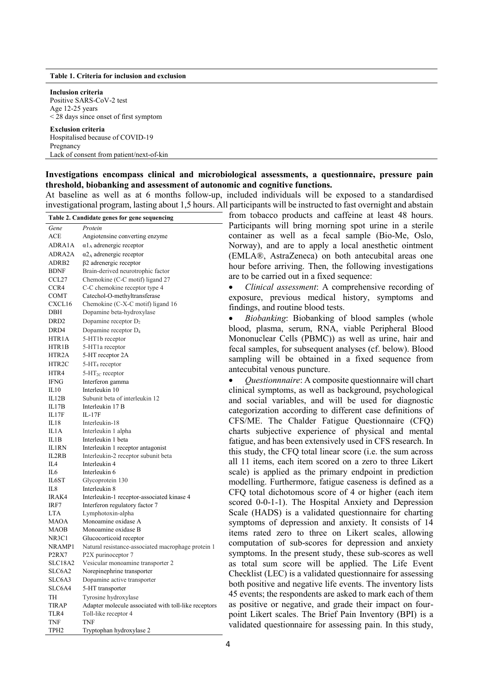#### **Table 1. Criteria for inclusion and exclusion**

**Inclusion criteria** Positive SARS-CoV-2 test Age 12-25 years < 28 days since onset of first symptom **Exclusion criteria**

Hospitalised because of COVID-19 Pregnancy Lack of consent from patient/next-of-kin

#### **Investigations encompass clinical and microbiological assessments, a questionnaire, pressure pain threshold, biobanking and assessment of autonomic and cognitive functions.**

At baseline as well as at 6 months follow-up, included individuals will be exposed to a standardised investigational program, lasting about 1,5 hours. All participants will be instructed to fast overnight and abstain

| Table 2. Candidate genes for gene sequencing |                                                      |  |  |
|----------------------------------------------|------------------------------------------------------|--|--|
| Gene                                         | Protein                                              |  |  |
| ACE                                          | Angiotensine converting enzyme                       |  |  |
| ADRA1A                                       | $\alpha$ 1 <sub>A</sub> adrenergic receptor          |  |  |
| ADRA2A                                       | $\alpha$ <sup>2</sup> A adrenergic receptor          |  |  |
| ADRB <sub>2</sub>                            | $\beta$ 2 adrenergic receptor                        |  |  |
| <b>BDNF</b>                                  | Brain-derived neurotrophic factor                    |  |  |
| CCL27                                        | Chemokine (C-C motif) ligand 27                      |  |  |
| CCR4                                         | C-C chemokine receptor type 4                        |  |  |
| COMT                                         | Catechol-O-methyltransferase                         |  |  |
| CXCL16                                       | Chemokine (C-X-C motif) ligand 16                    |  |  |
| DBH                                          | Dopamine beta-hydroxylase                            |  |  |
| DRD <sub>2</sub>                             | Dopamine receptor $D_2$                              |  |  |
| DRD4                                         | Dopamine receptor D <sub>4</sub>                     |  |  |
| HTR1A                                        | 5-HT1b receptor                                      |  |  |
| HTR1B                                        | 5-HT1a receptor                                      |  |  |
| HTR2A                                        | 5-HT receptor 2A                                     |  |  |
| HTR2C                                        | $5-HT_4$ receptor                                    |  |  |
| HTR4                                         | $5 - HT_{2C}$ receptor                               |  |  |
| <b>IFNG</b>                                  | Interferon gamma                                     |  |  |
| IL10                                         | Interleukin 10                                       |  |  |
| IL12B                                        | Subunit beta of interleukin 12                       |  |  |
| IL17B                                        | Interleukin 17 B                                     |  |  |
| IL17F                                        | IL-17F                                               |  |  |
| IL18                                         | Interleukin-18                                       |  |  |
| IL1A                                         | Interleukin 1 alpha                                  |  |  |
| IL1B                                         | Interleukin 1 beta                                   |  |  |
| IL1RN                                        | Interleukin 1 receptor antagonist                    |  |  |
| IL2RB                                        | Interleukin-2 receptor subunit beta                  |  |  |
| IL4                                          | Interleukin 4                                        |  |  |
| IL6                                          | Interleukin 6                                        |  |  |
| IL6ST                                        | Glycoprotein 130                                     |  |  |
| IL8                                          | Interleukin 8                                        |  |  |
| IRAK4                                        | Interleukin-1 receptor-associated kinase 4           |  |  |
| IRF7                                         | Interferon regulatory factor 7                       |  |  |
| <b>LTA</b>                                   | Lymphotoxin-alpha                                    |  |  |
| MAOA                                         | Monoamine oxidase A                                  |  |  |
| MAOB                                         | Monoamine oxidase B                                  |  |  |
| NR3C1                                        | Glucocorticoid receptor                              |  |  |
| NRAMP1                                       | Natural resistance-associated macrophage protein 1   |  |  |
| P <sub>2</sub> RX7                           | P2X purinoceptor 7                                   |  |  |
| SLC18A2                                      | Vesicular monoamine transporter 2                    |  |  |
| SLC6A2                                       | Norepinephrine transporter                           |  |  |
| SLC6A3                                       | Dopamine active transporter                          |  |  |
| SLC6A4                                       | 5-HT transporter                                     |  |  |
| <b>TH</b>                                    | Tyrosine hydroxylase                                 |  |  |
| <b>TIRAP</b>                                 | Adapter molecule associated with toll-like receptors |  |  |
| TLR4                                         | Toll-like receptor 4                                 |  |  |
| TNF                                          | TNF                                                  |  |  |
| TPH <sub>2</sub>                             | Tryptophan hydroxylase 2                             |  |  |

from tobacco products and caffeine at least 48 hours. Participants will bring morning spot urine in a sterile container as well as a fecal sample (Bio-Me, Oslo, Norway), and are to apply a local anesthetic ointment (EMLA®, AstraZeneca) on both antecubital areas one hour before arriving. Then, the following investigations are to be carried out in a fixed sequence:

 *Clinical assessment*: A comprehensive recording of exposure, previous medical history, symptoms and findings, and routine blood tests.

 *Biobanking*: Biobanking of blood samples (whole blood, plasma, serum, RNA, viable Peripheral Blood Mononuclear Cells (PBMC)) as well as urine, hair and fecal samples, for subsequent analyses (cf. below). Blood sampling will be obtained in a fixed sequence from antecubital venous puncture.

 *Questionnnaire*: A composite questionnaire will chart clinical symptoms, as well as background, psychological and social variables, and will be used for diagnostic categorization according to different case definitions of CFS/ME. The Chalder Fatigue Questionnaire (CFQ) charts subjective experience of physical and mental fatigue, and has been extensively used in CFS research. In this study, the CFQ total linear score (i.e. the sum across all 11 items, each item scored on a zero to three Likert scale) is applied as the primary endpoint in prediction modelling. Furthermore, fatigue caseness is defined as a CFQ total dichotomous score of 4 or higher (each item scored 0-0-1-1). The Hospital Anxiety and Depression Scale (HADS) is a validated questionnaire for charting symptoms of depression and anxiety. It consists of 14 items rated zero to three on Likert scales, allowing computation of sub-scores for depression and anxiety symptoms. In the present study, these sub-scores as well as total sum score will be applied. The Life Event Checklist (LEC) is a validated questionnaire for assessing both positive and negative life events. The inventory lists 45 events; the respondents are asked to mark each of them as positive or negative, and grade their impact on fourpoint Likert scales. The Brief Pain Inventory (BPI) is a validated questionnaire for assessing pain. In this study,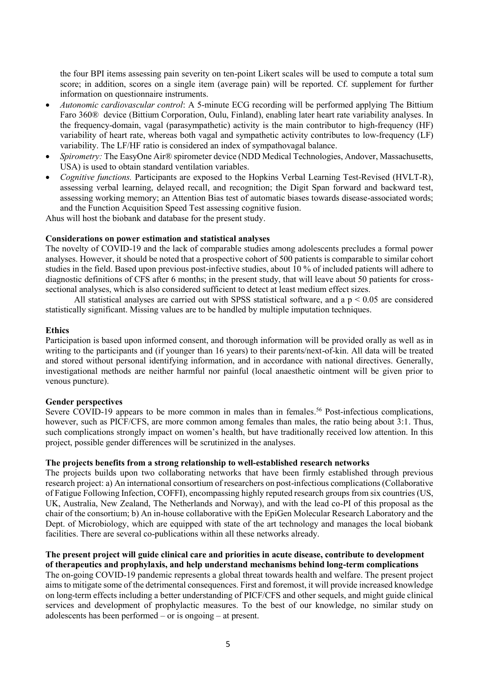the four BPI items assessing pain severity on ten-point Likert scales will be used to compute a total sum score; in addition, scores on a single item (average pain) will be reported. Cf. supplement for further information on questionnaire instruments.

- *Autonomic cardiovascular control*: A 5-minute ECG recording will be performed applying The Bittium Faro 360® device (Bittium Corporation, Oulu, Finland), enabling later heart rate variability analyses. In the frequency-domain, vagal (parasympathetic) activity is the main contributor to high-frequency (HF) variability of heart rate, whereas both vagal and sympathetic activity contributes to low-frequency (LF) variability. The LF/HF ratio is considered an index of sympathovagal balance.
- *Spirometry:* The EasyOne Air® spirometer device (NDD Medical Technologies, Andover, Massachusetts, USA) is used to obtain standard ventilation variables.
- *Cognitive functions.* Participants are exposed to the Hopkins Verbal Learning Test-Revised (HVLT-R), assessing verbal learning, delayed recall, and recognition; the Digit Span forward and backward test, assessing working memory; an Attention Bias test of automatic biases towards disease-associated words; and the Function Acquisition Speed Test assessing cognitive fusion.

Ahus will host the biobank and database for the present study.

### **Considerations on power estimation and statistical analyses**

The novelty of COVID-19 and the lack of comparable studies among adolescents precludes a formal power analyses. However, it should be noted that a prospective cohort of 500 patients is comparable to similar cohort studies in the field. Based upon previous post-infective studies, about 10 % of included patients will adhere to diagnostic definitions of CFS after 6 months; in the present study, that will leave about 50 patients for crosssectional analyses, which is also considered sufficient to detect at least medium effect sizes.

All statistical analyses are carried out with SPSS statistical software, and a  $p < 0.05$  are considered statistically significant. Missing values are to be handled by multiple imputation techniques.

#### **Ethics**

Participation is based upon informed consent, and thorough information will be provided orally as well as in writing to the participants and (if younger than 16 years) to their parents/next-of-kin. All data will be treated and stored without personal identifying information, and in accordance with national directives. Generally, investigational methods are neither harmful nor painful (local anaesthetic ointment will be given prior to venous puncture).

### **Gender perspectives**

Severe COVID-19 appears to be more common in males than in females.<sup>56</sup> Post-infectious complications, however, such as PICF/CFS, are more common among females than males, the ratio being about 3:1. Thus, such complications strongly impact on women's health, but have traditionally received low attention. In this project, possible gender differences will be scrutinized in the analyses.

#### **The projects benefits from a strong relationship to well-established research networks**

The projects builds upon two collaborating networks that have been firmly established through previous research project: a) An international consortium of researchers on post-infectious complications (Collaborative of Fatigue Following Infection, COFFI), encompassing highly reputed research groups from six countries (US, UK, Australia, New Zealand, The Netherlands and Norway), and with the lead co-PI of this proposal as the chair of the consortium; b) An in-house collaborative with the EpiGen Molecular Research Laboratory and the Dept. of Microbiology, which are equipped with state of the art technology and manages the local biobank facilities. There are several co-publications within all these networks already.

#### **The present project will guide clinical care and priorities in acute disease, contribute to development of therapeutics and prophylaxis, and help understand mechanisms behind long-term complications**

The on-going COVID-19 pandemic represents a global threat towards health and welfare. The present project aims to mitigate some of the detrimental consequences. First and foremost, it will provide increased knowledge on long-term effects including a better understanding of PICF/CFS and other sequels, and might guide clinical services and development of prophylactic measures. To the best of our knowledge, no similar study on adolescents has been performed – or is ongoing – at present.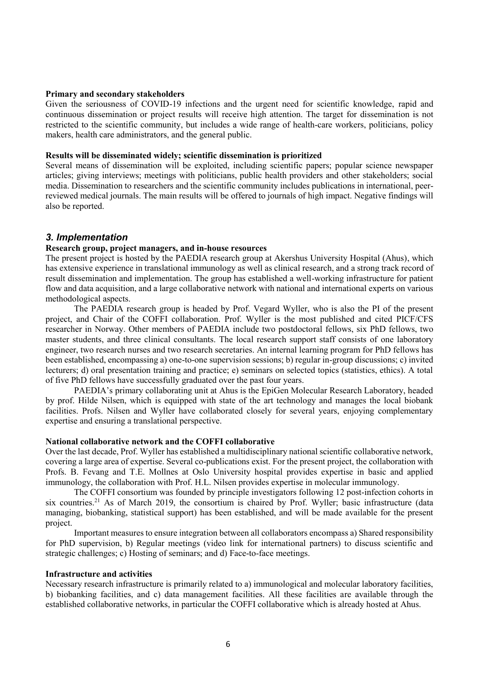#### **Primary and secondary stakeholders**

Given the seriousness of COVID-19 infections and the urgent need for scientific knowledge, rapid and continuous dissemination or project results will receive high attention. The target for dissemination is not restricted to the scientific community, but includes a wide range of health-care workers, politicians, policy makers, health care administrators, and the general public.

#### **Results will be disseminated widely; scientific dissemination is prioritized**

Several means of dissemination will be exploited, including scientific papers; popular science newspaper articles; giving interviews; meetings with politicians, public health providers and other stakeholders; social media. Dissemination to researchers and the scientific community includes publications in international, peerreviewed medical journals. The main results will be offered to journals of high impact. Negative findings will also be reported.

# *3. Implementation*

### **Research group, project managers, and in-house resources**

The present project is hosted by the PAEDIA research group at Akershus University Hospital (Ahus), which has extensive experience in translational immunology as well as clinical research, and a strong track record of result dissemination and implementation. The group has established a well-working infrastructure for patient flow and data acquisition, and a large collaborative network with national and international experts on various methodological aspects.

The PAEDIA research group is headed by Prof. Vegard Wyller, who is also the PI of the present project, and Chair of the COFFI collaboration. Prof. Wyller is the most published and cited PICF/CFS researcher in Norway. Other members of PAEDIA include two postdoctoral fellows, six PhD fellows, two master students, and three clinical consultants. The local research support staff consists of one laboratory engineer, two research nurses and two research secretaries. An internal learning program for PhD fellows has been established, encompassing a) one-to-one supervision sessions; b) regular in-group discussions; c) invited lecturers; d) oral presentation training and practice; e) seminars on selected topics (statistics, ethics). A total of five PhD fellows have successfully graduated over the past four years.

PAEDIA's primary collaborating unit at Ahus is the EpiGen Molecular Research Laboratory, headed by prof. Hilde Nilsen, which is equipped with state of the art technology and manages the local biobank facilities. Profs. Nilsen and Wyller have collaborated closely for several years, enjoying complementary expertise and ensuring a translational perspective.

#### **National collaborative network and the COFFI collaborative**

Over the last decade, Prof. Wyller has established a multidisciplinary national scientific collaborative network, covering a large area of expertise. Several co-publications exist. For the present project, the collaboration with Profs. B. Fevang and T.E. Mollnes at Oslo University hospital provides expertise in basic and applied immunology, the collaboration with Prof. H.L. Nilsen provides expertise in molecular immunology.

The COFFI consortium was founded by principle investigators following 12 post-infection cohorts in six countries.<sup>21</sup> As of March 2019, the consortium is chaired by Prof. Wyller; basic infrastructure (data managing, biobanking, statistical support) has been established, and will be made available for the present project.

Important measures to ensure integration between all collaborators encompass a) Shared responsibility for PhD supervision, b) Regular meetings (video link for international partners) to discuss scientific and strategic challenges; c) Hosting of seminars; and d) Face-to-face meetings.

#### **Infrastructure and activities**

Necessary research infrastructure is primarily related to a) immunological and molecular laboratory facilities, b) biobanking facilities, and c) data management facilities. All these facilities are available through the established collaborative networks, in particular the COFFI collaborative which is already hosted at Ahus.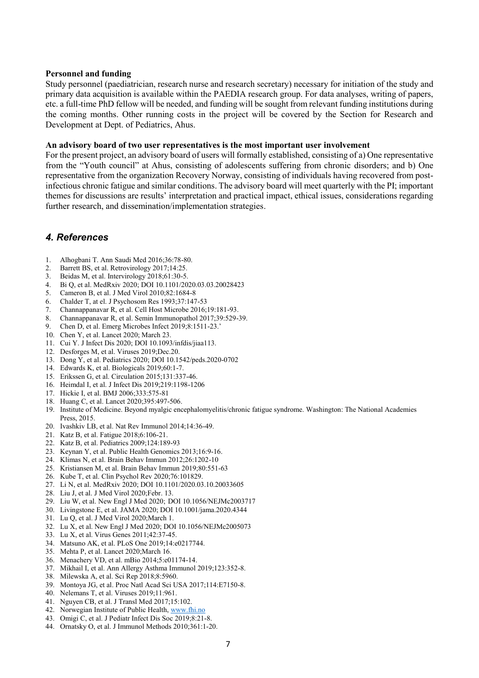#### **Personnel and funding**

Study personnel (paediatrician, research nurse and research secretary) necessary for initiation of the study and primary data acquisition is available within the PAEDIA research group. For data analyses, writing of papers, etc. a full-time PhD fellow will be needed, and funding will be sought from relevant funding institutions during the coming months. Other running costs in the project will be covered by the Section for Research and Development at Dept. of Pediatrics, Ahus.

#### **An advisory board of two user representatives is the most important user involvement**

For the present project, an advisory board of users will formally established, consisting of a) One representative from the "Youth council" at Ahus, consisting of adolescents suffering from chronic disorders; and b) One representative from the organization Recovery Norway, consisting of individuals having recovered from postinfectious chronic fatigue and similar conditions. The advisory board will meet quarterly with the PI; important themes for discussions are results' interpretation and practical impact, ethical issues, considerations regarding further research, and dissemination/implementation strategies.

# *4. References*

- 1. Alhogbani T. Ann Saudi Med 2016;36:78-80.
- 2. Barrett BS, et al. Retrovirology 2017;14:25.
- 3. Beidas M, et al. Intervirology 2018;61:30-5.
- 4. Bi Q, et al. MedRxiv 2020; DOI 10.1101/2020.03.03.20028423
- 5. Cameron B, et al. J Med Virol 2010;82:1684-8
- 6. Chalder T, at el. J Psychosom Res 1993;37:147-53
- 7. Channappanavar R, et al. Cell Host Microbe 2016;19:181-93.
- 8. Channappanavar R, et al. Semin Immunopathol 2017;39:529-39.
- 9. Chen D, et al. Emerg Microbes Infect 2019;8:1511-23.'
- 10. Chen Y, et al. Lancet 2020; March 23.
- 11. Cui Y. J Infect Dis 2020; DOI 10.1093/infdis/jiaa113.
- 12. Desforges M, et al. Viruses 2019;Dec.20.
- 13. Dong Y, et al. Pediatrics 2020; DOI 10.1542/peds.2020-0702
- 14. Edwards K, et al. Biologicals 2019;60:1-7.
- 15. Erikssen G, et al. Circulation 2015;131:337-46.
- 16. Heimdal I, et al. J Infect Dis 2019;219:1198-1206
- 17. Hickie I, et al. BMJ 2006;333:575-81
- 18. Huang C, et al. Lancet 2020;395:497-506.
- 19. Institute of Medicine. Beyond myalgic encephalomyelitis/chronic fatigue syndrome. Washington: The National Academies Press, 2015.
- 20. Ivashkiv LB, et al. Nat Rev Immunol 2014;14:36-49.
- 21. Katz B, et al. Fatigue 2018;6:106-21.
- 22. Katz B, et al. Pediatrics 2009;124:189-93
- 23. Keynan Y, et al. Public Health Genomics 2013;16:9-16.
- 24. Klimas N, et al. Brain Behav Immun 2012;26:1202-10
- 25. Kristiansen M, et al. Brain Behav Immun 2019;80:551-63
- 26. Kube T, et al. Clin Psychol Rev 2020;76:101829.
- 27. Li N, et al. MedRxiv 2020; DOI 10.1101/2020.03.10.20033605
- 28. Liu J, et al. J Med Virol 2020;Febr. 13.
- 29. Liu W, et al. New Engl J Med 2020; DOI 10.1056/NEJMc2003717
- 30. Livingstone E, et al. JAMA 2020; DOI 10.1001/jama.2020.4344
- 31. Lu Q, et al. J Med Virol 2020;March 1.
- 32. Lu X, et al. New Engl J Med 2020; DOI 10.1056/NEJMc2005073
- 33. Lu X, et al. Virus Genes 2011;42:37-45.
- 34. Matsuno AK, et al. PLoS One 2019;14:e0217744.
- 35. Mehta P, et al. Lancet 2020;March 16.
- 36. Menachery VD, et al. mBio 2014;5:e01174-14.
- 37. Mikhail I, et al. Ann Allergy Asthma Immunol 2019;123:352-8.
- 38. Milewska A, et al. Sci Rep 2018;8:5960.
- 39. Montoya JG, et al. Proc Natl Acad Sci USA 2017;114:E7150-8.
- 40. Nelemans T, et al. Viruses 2019;11:961.
- 41. Nguyen CB, et al. J Transl Med 2017;15:102.
- 42. Norwegian Institute of Public Health, [www.fhi.no](http://www.fhi.no/)
- 43. Omigi C, et al. J Pediatr Infect Dis Soc 2019;8:21-8.
- 44. Ornatsky O, et al. J Immunol Methods 2010;361:1-20.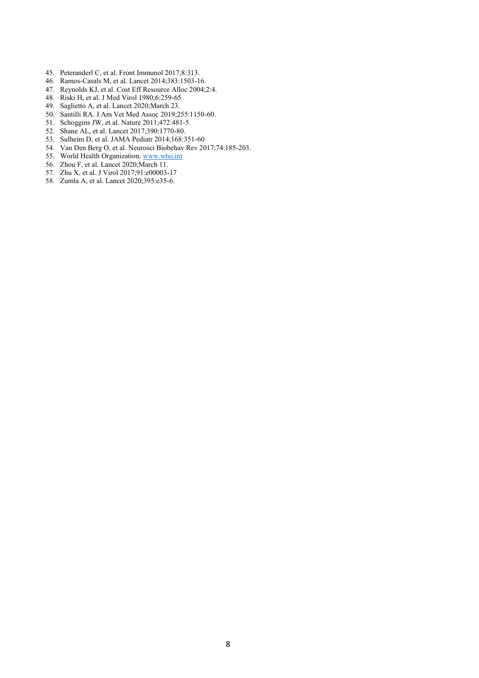- 45. Peteranderl C, et al. Front Immunol 2017;8:313.
- 46. Ramos-Casals M, et al. Lancet 2014;383:1503-16.
- 47. Reynolds KJ, et al. Cost Eff Resource Alloc 2004;2:4.
- 48. Riski H, et al. J Med Virol 1980;6:259-65
- 49. Saglietto A, et al. Lancet 2020;March 23.
- 50. Santilli RA. J Am Vet Med Assoc 2019;255:1150-60.
- 51. Schoggins JW, et al. Nature 2011;472:481-5.
- 52. Shane AL, et al. Lancet 2017;390:1770-80.
- 53. Sulheim D, et al. JAMA Pediatr 2014;168:351-60
- 54. Van Den Berg O, et al. Neurosci Biobehav Rev 2017;74:185-203.
- 55. World Health Organization[. www.who.int](http://www.who.int/)
- 56. Zhou F, et al. Lancet 2020;March 11.
- 57. Zhu X, et al. J Virol 2017;91:e00003-17
- 58. Zumla A, et al. Lancet 2020;395:e35-6.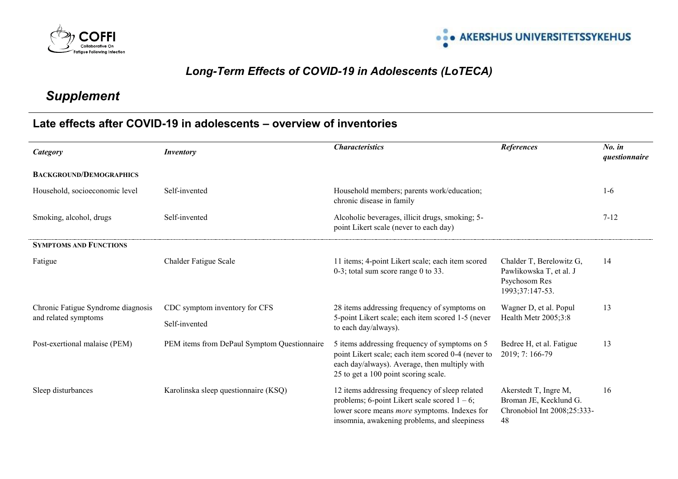



# *Long-Term Effects of COVID-19 in Adolescents (LoTECA)*

# *Supplement*

# **Late effects after COVID-19 in adolescents – overview of inventories**

| Category                                                   | <b>Inventory</b>                            | <b>Characteristics</b>                                                                                                                                                                                   | <b>References</b>                                                                       | $No.$ in<br>questionnaire |
|------------------------------------------------------------|---------------------------------------------|----------------------------------------------------------------------------------------------------------------------------------------------------------------------------------------------------------|-----------------------------------------------------------------------------------------|---------------------------|
| <b>BACKGROUND/DEMOGRAPHICS</b>                             |                                             |                                                                                                                                                                                                          |                                                                                         |                           |
| Household, socioeconomic level                             | Self-invented                               | Household members; parents work/education;<br>chronic disease in family                                                                                                                                  |                                                                                         | $1-6$                     |
| Smoking, alcohol, drugs                                    | Self-invented                               | Alcoholic beverages, illicit drugs, smoking; 5-<br>point Likert scale (never to each day)                                                                                                                |                                                                                         | $7 - 12$                  |
| <b>SYMPTOMS AND FUNCTIONS</b>                              |                                             |                                                                                                                                                                                                          |                                                                                         |                           |
| Fatigue                                                    | Chalder Fatigue Scale                       | 11 items; 4-point Likert scale; each item scored<br>$0-3$ ; total sum score range 0 to 33.                                                                                                               | Chalder T, Berelowitz G,<br>Pawlikowska T, et al. J<br>Psychosom Res<br>1993;37:147-53. | 14                        |
| Chronic Fatigue Syndrome diagnosis<br>and related symptoms | CDC symptom inventory for CFS               | 28 items addressing frequency of symptoms on<br>5-point Likert scale; each item scored 1-5 (never<br>to each day/always).                                                                                | Wagner D, et al. Popul                                                                  | 13                        |
|                                                            | Self-invented                               |                                                                                                                                                                                                          | Health Metr 2005;3:8                                                                    |                           |
| Post-exertional malaise (PEM)                              | PEM items from DePaul Symptom Questionnaire | 5 items addressing frequency of symptoms on 5<br>point Likert scale; each item scored 0-4 (never to<br>each day/always). Average, then multiply with<br>25 to get a 100 point scoring scale.             | Bedree H, et al. Fatigue<br>$2019; 7:166-79$                                            | 13                        |
| Sleep disturbances                                         | Karolinska sleep questionnaire (KSQ)        | 12 items addressing frequency of sleep related<br>problems; 6-point Likert scale scored $1 - 6$ ;<br>lower score means <i>more</i> symptoms. Indexes for<br>insomnia, awakening problems, and sleepiness | Akerstedt T, Ingre M,<br>Broman JE, Kecklund G.<br>Chronobiol Int 2008;25:333-<br>48    | 16                        |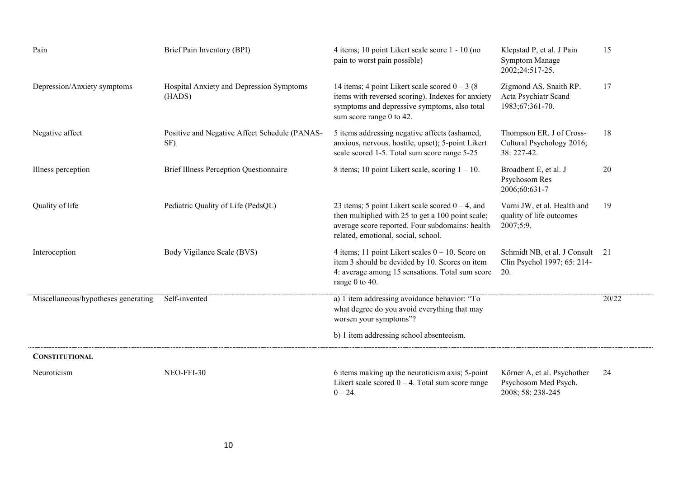| Pain                                | Brief Pain Inventory (BPI)                           | 4 items; 10 point Likert scale score 1 - 10 (no<br>pain to worst pain possible)                                                                                                                    | Klepstad P, et al. J Pain<br><b>Symptom Manage</b><br>2002;24:517-25.    | 15    |
|-------------------------------------|------------------------------------------------------|----------------------------------------------------------------------------------------------------------------------------------------------------------------------------------------------------|--------------------------------------------------------------------------|-------|
| Depression/Anxiety symptoms         | Hospital Anxiety and Depression Symptoms<br>(HADS)   | 14 items; 4 point Likert scale scored $0 - 3$ (8)<br>items with reversed scoring). Indexes for anxiety<br>symptoms and depressive symptoms, also total<br>sum score range 0 to 42.                 | Zigmond AS, Snaith RP.<br>Acta Psychiatr Scand<br>1983;67:361-70.        | 17    |
| Negative affect                     | Positive and Negative Affect Schedule (PANAS-<br>SF) | 5 items addressing negative affects (ashamed,<br>anxious, nervous, hostile, upset); 5-point Likert<br>scale scored 1-5. Total sum score range 5-25                                                 | Thompson ER. J of Cross-<br>Cultural Psychology 2016;<br>38: 227-42.     | 18    |
| Illness perception                  | <b>Brief Illness Perception Questionnaire</b>        | 8 items; 10 point Likert scale, scoring $1 - 10$ .                                                                                                                                                 | Broadbent E, et al. J<br>Psychosom Res<br>2006;60:631-7                  | 20    |
| Quality of life                     | Pediatric Quality of Life (PedsQL)                   | 23 items; 5 point Likert scale scored $0 - 4$ , and<br>then multiplied with 25 to get a 100 point scale;<br>average score reported. Four subdomains: health<br>related, emotional, social, school. | Varni JW, et al. Health and<br>quality of life outcomes<br>2007;5:9.     | 19    |
| Interoception                       | Body Vigilance Scale (BVS)                           | 4 items; 11 point Likert scales $0 - 10$ . Score on<br>item 3 should be devided by 10. Scores on item<br>4: average among 15 sensations. Total sum score<br>range 0 to 40.                         | Schmidt NB, et al. J Consult<br>Clin Psychol 1997; 65: 214-<br>20.       | 21    |
| Miscellaneous/hypotheses generating | Self-invented                                        | a) 1 item addressing avoidance behavior: "To<br>what degree do you avoid everything that may<br>worsen your symptoms"?                                                                             |                                                                          | 20/22 |
|                                     |                                                      | b) 1 item addressing school absenteeism.                                                                                                                                                           |                                                                          |       |
| <b>CONSTITUTIONAL</b>               |                                                      |                                                                                                                                                                                                    |                                                                          |       |
| Neuroticism                         | NEO-FFI-30                                           | 6 items making up the neuroticism axis; 5-point<br>Likert scale scored $0 - 4$ . Total sum score range<br>$0 - 24.$                                                                                | Körner A, et al. Psychother<br>Psychosom Med Psych.<br>2008; 58: 238-245 | 24    |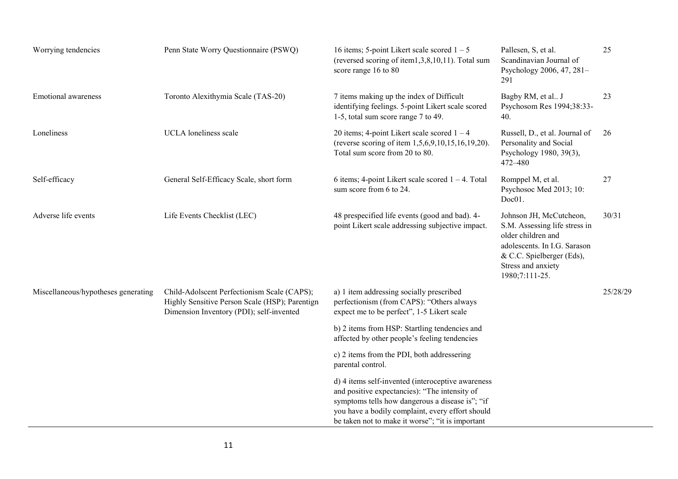| Worrying tendencies                 | Penn State Worry Questionnaire (PSWQ)                                                                                                     | 16 items; 5-point Likert scale scored $1 - 5$<br>(reversed scoring of item1,3,8,10,11). Total sum<br>score range 16 to 80                                                                                                                                     | Pallesen, S, et al.<br>Scandinavian Journal of<br>Psychology 2006, 47, 281-<br>291                                                                                                  | 25       |
|-------------------------------------|-------------------------------------------------------------------------------------------------------------------------------------------|---------------------------------------------------------------------------------------------------------------------------------------------------------------------------------------------------------------------------------------------------------------|-------------------------------------------------------------------------------------------------------------------------------------------------------------------------------------|----------|
| <b>Emotional awareness</b>          | Toronto Alexithymia Scale (TAS-20)                                                                                                        | 7 items making up the index of Difficult<br>identifying feelings. 5-point Likert scale scored<br>1-5, total sum score range 7 to 49.                                                                                                                          | Bagby RM, et al J<br>Psychosom Res 1994;38:33-<br>40.                                                                                                                               | 23       |
| Loneliness                          | UCLA loneliness scale                                                                                                                     | 20 items; 4-point Likert scale scored $1 - 4$<br>(reverse scoring of item 1,5,6,9,10,15,16,19,20).<br>Total sum score from 20 to 80.                                                                                                                          | Russell, D., et al. Journal of<br>Personality and Social<br>Psychology 1980, 39(3),<br>472-480                                                                                      | 26       |
| Self-efficacy                       | General Self-Efficacy Scale, short form                                                                                                   | 6 items; 4-point Likert scale scored $1 - 4$ . Total<br>sum score from 6 to 24.                                                                                                                                                                               | Romppel M, et al.<br>Psychosoc Med 2013; 10:<br>Doc01.                                                                                                                              | 27       |
| Adverse life events                 | Life Events Checklist (LEC)                                                                                                               | 48 prespecified life events (good and bad). 4-<br>point Likert scale addressing subjective impact.                                                                                                                                                            | Johnson JH, McCutcheon,<br>S.M. Assessing life stress in<br>older children and<br>adolescents. In I.G. Sarason<br>& C.C. Spielberger (Eds),<br>Stress and anxiety<br>1980;7:111-25. | 30/31    |
| Miscellaneous/hypotheses generating | Child-Adolscent Perfectionism Scale (CAPS);<br>Highly Sensitive Person Scale (HSP); Parentign<br>Dimension Inventory (PDI); self-invented | a) 1 item addressing socially prescribed<br>perfectionism (from CAPS): "Others always<br>expect me to be perfect", 1-5 Likert scale                                                                                                                           |                                                                                                                                                                                     | 25/28/29 |
|                                     |                                                                                                                                           | b) 2 items from HSP: Startling tendencies and<br>affected by other people's feeling tendencies                                                                                                                                                                |                                                                                                                                                                                     |          |
|                                     |                                                                                                                                           | c) 2 items from the PDI, both addressering<br>parental control.                                                                                                                                                                                               |                                                                                                                                                                                     |          |
|                                     |                                                                                                                                           | d) 4 items self-invented (interoceptive awareness<br>and positive expectancies): "The intensity of<br>symptoms tells how dangerous a disease is"; "if<br>you have a bodily complaint, every effort should<br>be taken not to make it worse"; "it is important |                                                                                                                                                                                     |          |